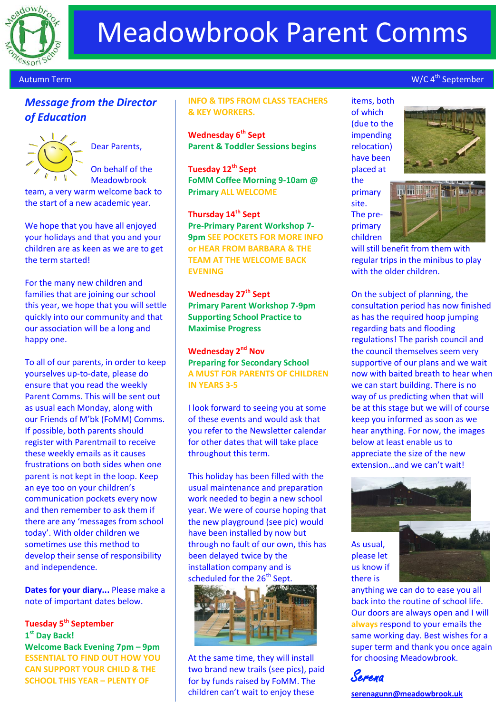

# Meadowbrook Parent Comms

#### Autumn Term

## **Message from the Director** *of Education*



Dear Parents,

On behalf of the Meadowbrook team, a very warm welcome back to the start of a new academic year.

We hope that you have all enjoyed your holidays and that you and your children are as keen as we are to get the term started!

For the many new children and families that are joining our school this year, we hope that you will settle quickly into our community and that our association will be a long and happy one.

To all of our parents, in order to keep yourselves up-to-date, please do ensure that you read the weekly Parent Comms. This will be sent out as usual each Monday, along with our Friends of M'bk (FoMM) Comms. If possible, both parents should register with Parentmail to receive these weekly emails as it causes frustrations on both sides when one parent is not kept in the loop. Keep an eye too on your children's communication pockets every now and then remember to ask them if there are any 'messages from school today'. With older children we sometimes use this method to develop their sense of responsibility and independence.

**Dates for your diary...** Please make a note of important dates below.

## **Tuesday 5th September 1 st Day Back! Welcome Back Evening 7pm – 9pm ESSENTIAL TO FIND OUT HOW YOU CAN SUPPORT YOUR CHILD & THE SCHOOL THIS YEAR – PLENTY OF**

#### **INFO & TIPS FROM CLASS TEACHERS & KEY WORKERS.**

**Wednesday 6th Sept Parent & Toddler Sessions begins**

**Tuesday 12th Sept FoMM Coffee Morning 9-10am @ Primary ALL WELCOME**

**Thursday 14th Sept Pre-Primary Parent Workshop 7- 9pm SEE POCKETS FOR MORE INFO or HEAR FROM BARBARA & THE TEAM AT THE WELCOME BACK EVENING**

**Wednesday 27th Sept Primary Parent Workshop 7-9pm Supporting School Practice to Maximise Progress** 

**Wednesday 2nd Nov Preparing for Secondary School A MUST FOR PARENTS OF CHILDREN IN YEARS 3-5**

I look forward to seeing you at some of these events and would ask that you refer to the Newsletter calendar for other dates that will take place throughout this term.

This holiday has been filled with the usual maintenance and preparation work needed to begin a new school year. We were of course hoping that the new playground (see pic) would have been installed by now but through no fault of our own, this has been delayed twice by the installation company and is scheduled for the 26<sup>th</sup> Sept.



At the same time, they will install two brand new trails (see pics), paid for by funds raised by FoMM. The children can't wait to enjoy these

items, both of which (due to the impending relocation) have been placed at the

primary site. The preprimary children



W/C 4<sup>th</sup> September



will still benefit from them with regular trips in the minibus to play with the older children.

On the subject of planning, the consultation period has now finished as has the required hoop jumping regarding bats and flooding regulations! The parish council and the council themselves seem very supportive of our plans and we wait now with baited breath to hear when we can start building. There is no way of us predicting when that will be at this stage but we will of course keep you informed as soon as we hear anything. For now, the images below at least enable us to appreciate the size of the new extension…and we can't wait!



anything we can do to ease you all back into the routine of school life. Our doors are always open and I will **always** respond to your emails the same working day. Best wishes for a super term and thank you once again for choosing Meadowbrook.

Serena

there is

**[serenagunn@meadowbrook.uk](mailto:serenagunn@meadowbrook.uk)**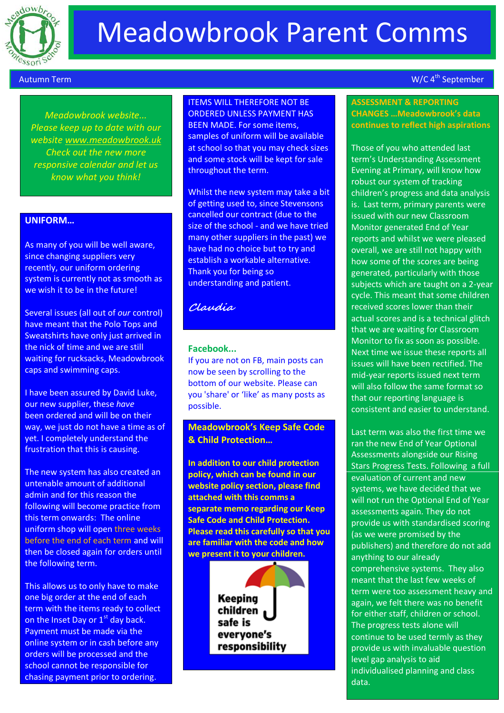

## Meadowbrook Parent Comms

#### Autumn Term

th June 2017 2017

*Meadowbrook website... Please keep up to date with our website [www.meadowbrook.uk](http://www.meadowbrook.uk/) Check out the new more responsive calendar and let us know what you think!*

#### **UNIFORM…**

As many of you will be well aware, since changing suppliers very recently, our uniform ordering system is currently not as smooth as we wish it to be in the future!

Several issues (all out of *our* control) have meant that the Polo Tops and Sweatshirts have only just arrived in the nick of time and we are still waiting for rucksacks, Meadowbrook caps and swimming caps.

I have been assured by David Luke, our new supplier, these *have*  been ordered and will be on their way, we just do not have a time as of yet. I completely understand the frustration that this is causing.

The new system has also created an untenable amount of additional admin and for this reason the following will become practice from this term onwards: The online uniform shop will open three weeks before the end of each term and will then be closed again for orders until the following term.

This allows us to only have to make one big order at the end of each term with the items ready to collect on the Inset Day or 1<sup>st</sup> day back. Payment must be made via the online system or in cash before any orders will be processed and the school cannot be responsible for chasing payment prior to ordering.

### ITEMS WILL THEREFORE NOT BE ORDERED UNLESS PAYMENT HAS BEEN MADE. For some items, samples of uniform will be available at school so that you may check sizes and some stock will be kept for sale throughout the term.

Whilst the new system may take a bit of getting used to, since Stevensons cancelled our contract (due to the size of the school - and we have tried many other suppliers in the past) we have had no choice but to try and establish a workable alternative. Thank you for being so understanding and patient.

## **Claudia**

## **Facebook...**

If you are not on FB, main posts can now be seen by scrolling to the bottom of our website. Please can you 'share' or 'like' as many posts as possible.

## **Meadowbrook's Keep Safe Code & Child Protection…**

**In addition to our child protection policy, which can be found in our website policy section, please find attached with this comms a separate memo regarding our Keep Safe Code and Child Protection. Please read this carefully so that you are familiar with the code and how we present it to your children.**

> **Keeping** children safe is evervone's responsibility

## W/C 4<sup>th</sup> September

#### **ASSESSMENT & REPORTING CHANGES …Meadowbrook's data continues to reflect high aspirations**

Those of you who attended last term's Understanding Assessment Evening at Primary, will know how robust our system of tracking children's progress and data analysis is. Last term, primary parents were issued with our new Classroom Monitor generated End of Year reports and whilst we were pleased overall, we are still not happy with how some of the scores are being generated, particularly with those subjects which are taught on a 2-year cycle. This meant that some children received scores lower than their actual scores and is a technical glitch that we are waiting for Classroom Monitor to fix as soon as possible. Next time we issue these reports all issues will have been rectified. The mid-year reports issued next term will also follow the same format so that our reporting language is consistent and easier to understand.

Last term was also the first time we ran the new End of Year Optional Assessments alongside our Rising Stars Progress Tests. Following a full evaluation of current and new systems, we have decided that we will not run the Optional End of Year assessments again. They do not provide us with standardised scoring (as we were promised by the publishers) and therefore do not add anything to our already comprehensive systems. They also meant that the last few weeks of term were too assessment heavy and again, we felt there was no benefit for either staff, children or school. The progress tests alone will continue to be used termly as they provide us with invaluable question level gap analysis to aid individualised planning and class data.